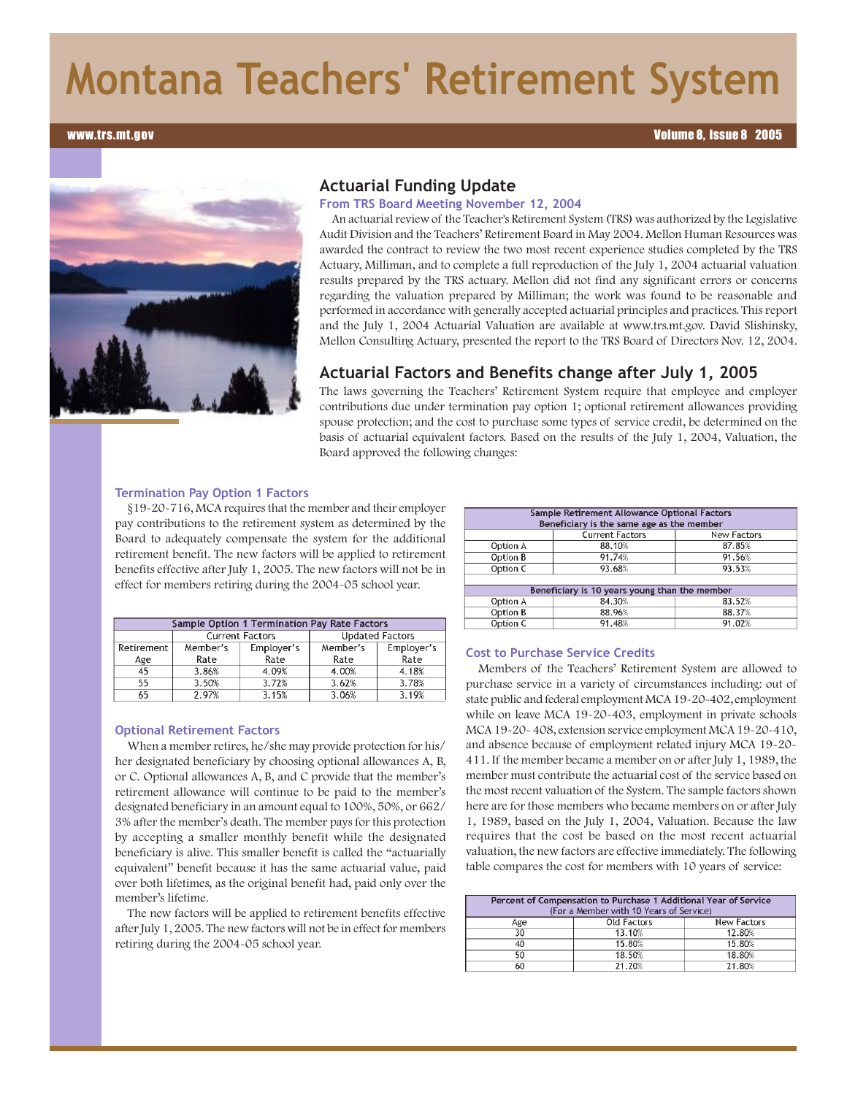# **Montana Teachers' Retirement System**

#### www.trs.mt.gov

#### Volume 8, Issue 8 2005



## **Actuarial Funding Update**

**From TRS Board Meeting November 12, 2004**

An actuarial review of the Teacher's Retirement System (TRS) was authorized by the Legislative Audit Division and the Teachers' Retirement Board in May 2004. Mellon Human Resources was awarded the contract to review the two most recent experience studies completed by the TRS Actuary, Milliman, and to complete a full reproduction of the July 1, 2004 actuarial valuation results prepared by the TRS actuary. Mellon did not find any significant errors or concerns regarding the valuation prepared by Milliman; the work was found to be reasonable and performed in accordance with generally accepted actuarial principles and practices. This report and the July 1, 2004 Actuarial Valuation are available at www.trs.mt.gov. David Slishinsky, Mellon Consulting Actuary, presented the report to the TRS Board of Directors Nov. 12, 2004.

## **Actuarial Factors and Benefits change after July 1, 2005**

The laws governing the Teachers' Retirement System require that employee and employer contributions due under termination pay option 1; optional retirement allowances providing spouse protection; and the cost to purchase some types of service credit, be determined on the basis of actuarial equivalent factors. Based on the results of the July 1, 2004, Valuation, the Board approved the following changes:

#### **Termination Pay Option 1 Factors**

§19-20-716, MCA requires that the member and their employer pay contributions to the retirement system as determined by the Board to adequately compensate the system for the additional retirement benefit. The new factors will be applied to retirement benefits effective after July 1, 2005. The new factors will not be in effect for members retiring during the 2004-05 school year.

| Sample Option 1 Termination Pay Rate Factors |                        |            |                        |            |  |  |
|----------------------------------------------|------------------------|------------|------------------------|------------|--|--|
|                                              | <b>Current Factors</b> |            | <b>Updated Factors</b> |            |  |  |
| Retirement                                   | Member's               | Employer's | Member's               | Employer's |  |  |
| Age                                          | Rate                   | Rate       | Rate                   | Rate       |  |  |
| 45                                           | 3.86%                  | 4.09%      | 4.00%                  | 4.18%      |  |  |
| 55                                           | 3.50%                  | 3.72%      | 3.62%                  | 3.78%      |  |  |
| 65                                           | 2.97%                  | 3.15%      | 3.06%                  | 3.19%      |  |  |

# **Optional Retirement Factors**

When a member retires, he/she may provide protection for his/ her designated beneficiary by choosing optional allowances A, B, or C. Optional allowances A, B, and C provide that the member's retirement allowance will continue to be paid to the member's designated beneficiary in an amount equal to 100%, 50%, or 662/ 3% after the member's death. The member pays for this protection by accepting a smaller monthly benefit while the designated beneficiary is alive. This smaller benefit is called the "actuarially equivalent" benefit because it has the same actuarial value, paid over both lifetimes, as the original benefit had, paid only over the member's lifetime.

The new factors will be applied to retirement benefits effective after July 1, 2005. The new factors will not be in effect for members retiring during the 2004-05 school year.

| Sample Retirement Allowance Optional Factors<br>Beneficiary is the same age as the member |                        |                    |  |  |  |
|-------------------------------------------------------------------------------------------|------------------------|--------------------|--|--|--|
|                                                                                           | <b>Current Factors</b> | <b>New Factors</b> |  |  |  |
| Option A                                                                                  | 88.10%                 | 87.85%             |  |  |  |
| Option B                                                                                  | 91.74%                 | 91.56%             |  |  |  |
| Option C                                                                                  | 93.68%                 | 93.53%             |  |  |  |
|                                                                                           |                        |                    |  |  |  |
| Beneficiary is 10 years young than the member                                             |                        |                    |  |  |  |
| Option A                                                                                  | 84.30%                 | 83.52%             |  |  |  |
| Option B                                                                                  | 88.96%                 | 88.37%             |  |  |  |
| Option C                                                                                  | 91.48%                 | 91.02%             |  |  |  |

#### **Cost to Purchase Service Credits**

Members of the Teachers' Retirement System are allowed to purchase service in a variety of circumstances including: out of state public and federal employment MCA 19-20-402, employment while on leave MCA 19-20-403, employment in private schools MCA 19-20- 408, extension service employment MCA 19-20-410, and absence because of employment related injury MCA 19-20- 411. If the member became a member on or after July 1, 1989, the member must contribute the actuarial cost of the service based on the most recent valuation of the System. The sample factors shown here are for those members who became members on or after July 1, 1989, based on the July 1, 2004, Valuation. Because the law requires that the cost be based on the most recent actuarial valuation, the new factors are effective immediately. The following table compares the cost for members with 10 years of service:

| Percent of Compensation to Purchase 1 Additional Year of Service<br>(For a Member with 10 Years of Service) |             |             |  |  |  |
|-------------------------------------------------------------------------------------------------------------|-------------|-------------|--|--|--|
| Age                                                                                                         | Old Factors | New Factors |  |  |  |
| 30                                                                                                          | 13.10%      | 12.80%      |  |  |  |
| 40                                                                                                          | 15.80%      | 15.80%      |  |  |  |
| 50                                                                                                          | 18.50%      | 18.80%      |  |  |  |
| 60                                                                                                          | 21.20%      | 21.80%      |  |  |  |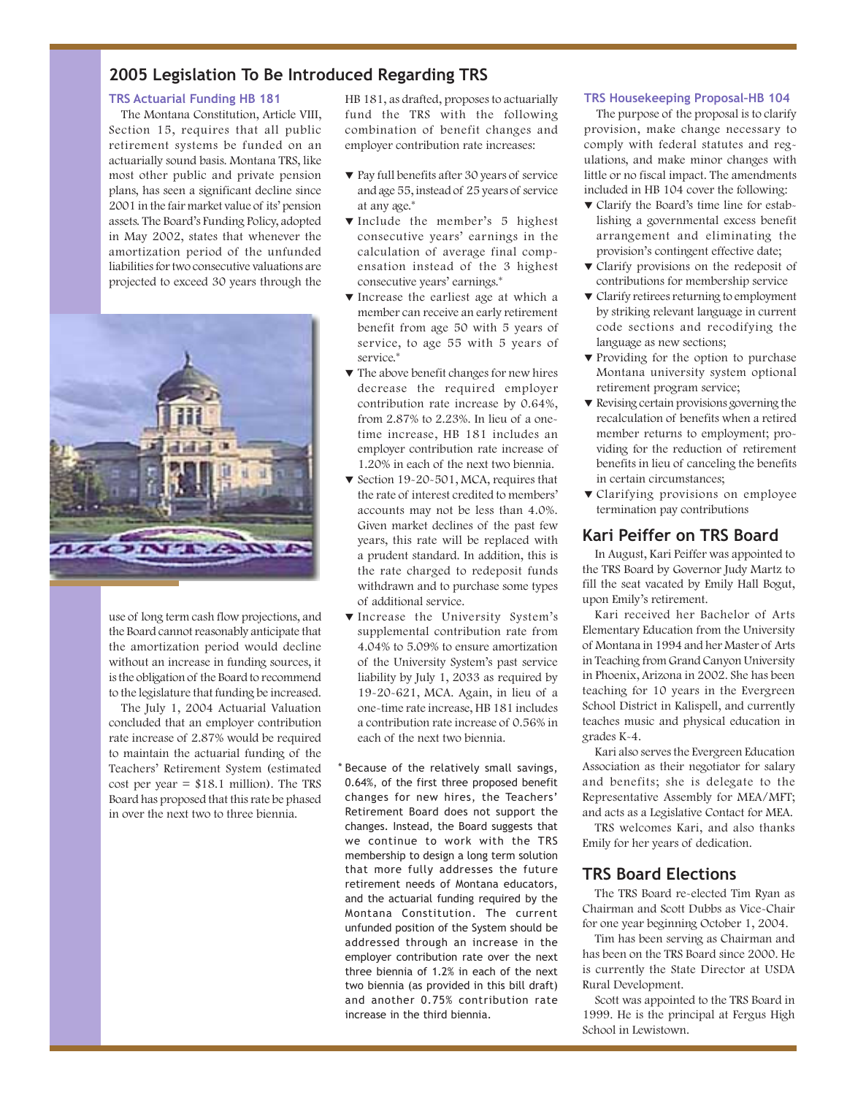# **2005 Legislation To Be Introduced Regarding TRS**

## **TRS Actuarial Funding HB 181**

The Montana Constitution, Article VIII, Section 15, requires that all public retirement systems be funded on an actuarially sound basis. Montana TRS, like most other public and private pension plans, has seen a significant decline since 2001 in the fair market value of its' pension assets. The Board's Funding Policy, adopted in May 2002, states that whenever the amortization period of the unfunded liabilities for two consecutive valuations are projected to exceed 30 years through the



use of long term cash flow projections, and the Board cannot reasonably anticipate that the amortization period would decline without an increase in funding sources, it is the obligation of the Board to recommend to the legislature that funding be increased.

The July 1, 2004 Actuarial Valuation concluded that an employer contribution rate increase of 2.87% would be required to maintain the actuarial funding of the Teachers' Retirement System (estimated cost per year  $= $18.1$  million). The TRS Board has proposed that this rate be phased in over the next two to three biennia.

HB 181, as drafted, proposes to actuarially fund the TRS with the following combination of benefit changes and employer contribution rate increases:

- W Pay full benefits after 30 years of service and age 55, instead of 25 years of service at any age.\*
- W Include the member's 5 highest consecutive years' earnings in the calculation of average final compensation instead of the 3 highest consecutive years' earnings.\*
- W Increase the earliest age at which a member can receive an early retirement benefit from age 50 with 5 years of service, to age 55 with 5 years of service.\*
- $\blacktriangledown$  The above benefit changes for new hires decrease the required employer contribution rate increase by 0.64%, from 2.87% to 2.23%. In lieu of a onetime increase, HB 181 includes an employer contribution rate increase of 1.20% in each of the next two biennia.
- ▼ Section 19-20-501, MCA, requires that the rate of interest credited to members' accounts may not be less than 4.0%. Given market declines of the past few years, this rate will be replaced with a prudent standard. In addition, this is the rate charged to redeposit funds withdrawn and to purchase some types of additional service.
- W Increase the University System's supplemental contribution rate from 4.04% to 5.09% to ensure amortization of the University System's past service liability by July 1, 2033 as required by 19-20-621, MCA. Again, in lieu of a one-time rate increase, HB 181 includes a contribution rate increase of 0.56% in each of the next two biennia.
- \* Because of the relatively small savings, 0.64%, of the first three proposed benefit changes for new hires, the Teachers' Retirement Board does not support the changes. Instead, the Board suggests that we continue to work with the TRS membership to design a long term solution that more fully addresses the future retirement needs of Montana educators, and the actuarial funding required by the Montana Constitution. The current unfunded position of the System should be addressed through an increase in the employer contribution rate over the next three biennia of 1.2% in each of the next two biennia (as provided in this bill draft) and another 0.75% contribution rate increase in the third biennia.

#### **TRS Housekeeping Proposal–HB 104**

The purpose of the proposal is to clarify provision, make change necessary to comply with federal statutes and regulations, and make minor changes with little or no fiscal impact. The amendments included in HB 104 cover the following:

- $\nabla$  Clarify the Board's time line for establishing a governmental excess benefit arrangement and eliminating the provision's contingent effective date;
- $\blacktriangledown$  Clarify provisions on the redeposit of contributions for membership service
- $\blacktriangledown$  Clarify retirees returning to employment by striking relevant language in current code sections and recodifying the language as new sections;
- ▼ Providing for the option to purchase Montana university system optional retirement program service;
- $\blacktriangledown$  Revising certain provisions governing the recalculation of benefits when a retired member returns to employment; providing for the reduction of retirement benefits in lieu of canceling the benefits in certain circumstances;
- $\blacktriangledown$  Clarifying provisions on employee termination pay contributions

## **Kari Peiffer on TRS Board**

In August, Kari Peiffer was appointed to the TRS Board by Governor Judy Martz to fill the seat vacated by Emily Hall Bogut, upon Emily's retirement.

Kari received her Bachelor of Arts Elementary Education from the University of Montana in 1994 and her Master of Arts in Teaching from Grand Canyon University in Phoenix, Arizona in 2002. She has been teaching for 10 years in the Evergreen School District in Kalispell, and currently teaches music and physical education in grades K-4.

Kari also serves the Evergreen Education Association as their negotiator for salary and benefits; she is delegate to the Representative Assembly for MEA/MFT; and acts as a Legislative Contact for MEA.

TRS welcomes Kari, and also thanks Emily for her years of dedication.

## **TRS Board Elections**

The TRS Board re-elected Tim Ryan as Chairman and Scott Dubbs as Vice-Chair for one year beginning October 1, 2004.

Tim has been serving as Chairman and has been on the TRS Board since 2000. He is currently the State Director at USDA Rural Development.

Scott was appointed to the TRS Board in 1999. He is the principal at Fergus High School in Lewistown.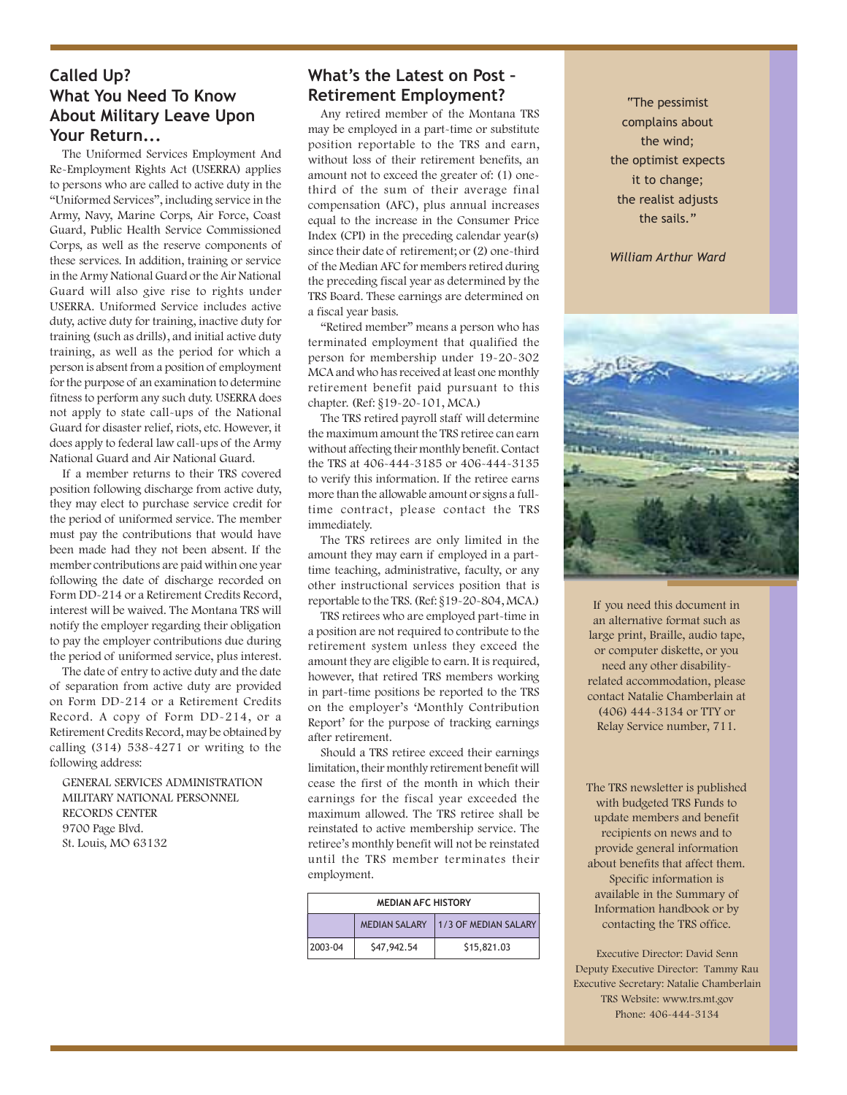## **Called Up? What You Need To Know About Military Leave Upon Your Return...**

The Uniformed Services Employment And Re-Employment Rights Act (USERRA) applies to persons who are called to active duty in the "Uniformed Services", including service in the Army, Navy, Marine Corps, Air Force, Coast Guard, Public Health Service Commissioned Corps, as well as the reserve components of these services. In addition, training or service in the Army National Guard or the Air National Guard will also give rise to rights under USERRA. Uniformed Service includes active duty, active duty for training, inactive duty for training (such as drills), and initial active duty training, as well as the period for which a person is absent from a position of employment for the purpose of an examination to determine fitness to perform any such duty. USERRA does not apply to state call-ups of the National Guard for disaster relief, riots, etc. However, it does apply to federal law call-ups of the Army National Guard and Air National Guard.

If a member returns to their TRS covered position following discharge from active duty, they may elect to purchase service credit for the period of uniformed service. The member must pay the contributions that would have been made had they not been absent. If the member contributions are paid within one year following the date of discharge recorded on Form DD-214 or a Retirement Credits Record, interest will be waived. The Montana TRS will notify the employer regarding their obligation to pay the employer contributions due during the period of uniformed service, plus interest.

The date of entry to active duty and the date of separation from active duty are provided on Form DD-214 or a Retirement Credits Record. A copy of Form DD-214, or a Retirement Credits Record, may be obtained by calling (314) 538-4271 or writing to the following address:

GENERAL SERVICES ADMINISTRATION MILITARY NATIONAL PERSONNEL RECORDS CENTER 9700 Page Blvd. St. Louis, MO 63132

# **What's the Latest on Post – Retirement Employment?**

Any retired member of the Montana TRS may be employed in a part-time or substitute position reportable to the TRS and earn, without loss of their retirement benefits, an amount not to exceed the greater of: (1) onethird of the sum of their average final compensation (AFC), plus annual increases equal to the increase in the Consumer Price Index (CPI) in the preceding calendar year(s) since their date of retirement; or (2) one-third of the Median AFC for members retired during the preceding fiscal year as determined by the TRS Board. These earnings are determined on a fiscal year basis.

"Retired member" means a person who has terminated employment that qualified the person for membership under 19-20-302 MCA and who has received at least one monthly retirement benefit paid pursuant to this chapter. (Ref: §19-20-101, MCA.)

The TRS retired payroll staff will determine the maximum amount the TRS retiree can earn without affecting their monthly benefit. Contact the TRS at 406-444-3185 or 406-444-3135 to verify this information. If the retiree earns more than the allowable amount or signs a fulltime contract, please contact the TRS immediately.

The TRS retirees are only limited in the amount they may earn if employed in a parttime teaching, administrative, faculty, or any other instructional services position that is reportable to the TRS. (Ref: §19-20-804, MCA.)

TRS retirees who are employed part-time in a position are not required to contribute to the retirement system unless they exceed the amount they are eligible to earn. It is required, however, that retired TRS members working in part-time positions be reported to the TRS on the employer's 'Monthly Contribution Report' for the purpose of tracking earnings after retirement.

Should a TRS retiree exceed their earnings limitation, their monthly retirement benefit will cease the first of the month in which their earnings for the fiscal year exceeded the maximum allowed. The TRS retiree shall be reinstated to active membership service. The retiree's monthly benefit will not be reinstated until the TRS member terminates their employment.

| <b>MEDIAN AFC HISTORY</b> |                      |                      |  |  |
|---------------------------|----------------------|----------------------|--|--|
|                           | <b>MEDIAN SALARY</b> | 1/3 OF MEDIAN SALARY |  |  |
| 2003-04                   | \$47,942.54          | \$15,821.03          |  |  |

"The pessimist complains about the wind; the optimist expects it to change; the realist adjusts the sails."

*William Arthur Ward*



If you need this document in an alternative format such as large print, Braille, audio tape, or computer diskette, or you need any other disabilityrelated accommodation, please contact Natalie Chamberlain at (406) 444-3134 or TTY or Relay Service number, 711.

The TRS newsletter is published with budgeted TRS Funds to update members and benefit recipients on news and to provide general information about benefits that affect them. Specific information is available in the Summary of Information handbook or by contacting the TRS office.

Executive Director: David Senn Deputy Executive Director: Tammy Rau Executive Secretary: Natalie Chamberlain TRS Website: www.trs.mt.gov Phone: 406-444-3134